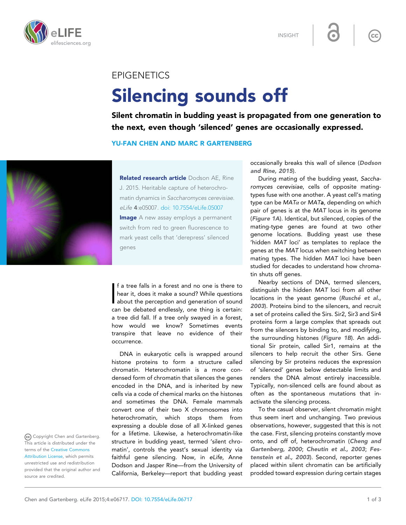

INSIGHT

## EPIGENETICS

## Silencing sounds off

Silent chromatin in budding yeast is propagated from one generation to the next, even though 'silenced' genes are occasionally expressed.

## YU-FAN CHEN AND MARC R GARTENBERG



Related research article Dodson AE, Rine J. 2015. Heritable capture of heterochromatin dynamics in Saccharomyces cerevisiae. eLife 4:e05007. [doi: 10.7554/eLife.05007](http://dx.doi.org/10.7554/eLife.05007) **Image** A new assay employs a permanent switch from red to green fluorescence to mark yeast cells that 'derepress' silenced genes

If a tree falls in a forest and no one is there to<br>hear it, does it make a sound? While questions<br>about the perception and generation of sound<br>can be debated endlessly, one thing is certain: f a tree falls in a forest and no one is there to hear it, does it make a sound? While questions about the perception and generation of sound a tree did fall. If a tree only swayed in a forest, how would we know? Sometimes events transpire that leave no evidence of their occurrence.

DNA in eukaryotic cells is wrapped around histone proteins to form a structure called chromatin. Heterochromatin is a more condensed form of chromatin that silences the genes encoded in the DNA, and is inherited by new cells via a code of chemical marks on the histones and sometimes the DNA. Female mammals convert one of their two X chromosomes into heterochromatin, which stops them from expressing a double dose of all X-linked genes for a lifetime. Likewise, a heterochromatin-like structure in budding yeast, termed 'silent chromatin', controls the yeast's sexual identity via faithful gene silencing. Now, in eLife, Anne Dodson and Jasper Rine—from the University of California, Berkeley—report that budding yeast occasionally breaks this wall of silence ([Dodson](#page-2-0) [and Rine, 2015](#page-2-0)).

 $cc$ 

During mating of the budding yeast, Saccharomyces cerevisiae, cells of opposite matingtypes fuse with one another. A yeast cell's mating type can be  $MAT\alpha$  or  $MAT$ a, depending on which pair of genes is at the MAT locus in its genome ([Figure 1A](#page-1-0)). Identical, but silenced, copies of the mating-type genes are found at two other genome locations. Budding yeast use these 'hidden MAT loci' as templates to replace the genes at the MAT locus when switching between mating types. The hidden MAT loci have been studied for decades to understand how chromatin shuts off genes.

Nearby sections of DNA, termed silencers, distinguish the hidden MAT loci from all other locations in the yeast genome (Rusché et al., [2003](#page-2-0)). Proteins bind to the silencers, and recruit a set of proteins called the Sirs. Sir2, Sir3 and Sir4 proteins form a large complex that spreads out from the silencers by binding to, and modifying, the surrounding histones ([Figure 1B](#page-1-0)). An additional Sir protein, called Sir1, remains at the silencers to help recruit the other Sirs. Gene silencing by Sir proteins reduces the expression of 'silenced' genes below detectable limits and renders the DNA almost entirely inaccessible. Typically, non-silenced cells are found about as often as the spontaneous mutations that inactivate the silencing process.

To the casual observer, silent chromatin might thus seem inert and unchanging. Two previous observations, however, suggested that this is not the case. First, silencing proteins constantly move onto, and off of, heterochromatin ([Cheng and](#page-2-0) [Gartenberg, 2000](#page-2-0); [Cheutin et al., 2003](#page-2-0); [Fes](#page-2-0)[tenstein et al., 2003](#page-2-0)). Second, reporter genes placed within silent chromatin can be artificially prodded toward expression during certain stages

Copyright Chen and Gartenberg. This article is distributed under the terms of the [Creative Commons](http://creativecommons.org/licenses/by/4.0/) [Attribution License,](http://creativecommons.org/licenses/by/4.0/) which permits unrestricted use and redistribution provided that the original author and source are credited.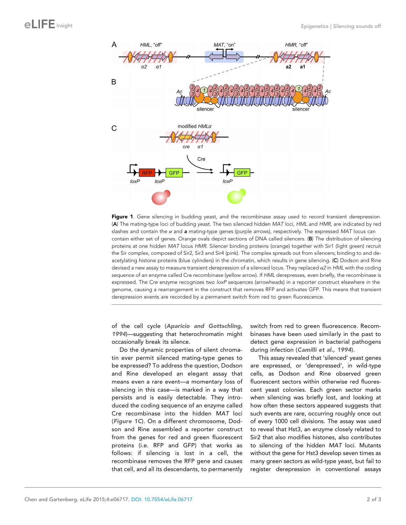<span id="page-1-0"></span>

Figure 1. Gene silencing in budding yeast, and the recombinase assay used to record transient derepression. (A) The mating-type loci of budding yeast. The two silenced hidden MAT loci, HML and HMR, are indicated by red slashes and contain the  $\alpha$  and **a** mating-type genes (purple arrows), respectively. The expressed MAT locus can contain either set of genes. Orange ovals depict sections of DNA called silencers. (B) The distribution of silencing proteins at one hidden MAT locus HMR. Silencer binding proteins (orange) together with Sir1 (light green) recruit the Sir complex, composed of Sir2, Sir3 and Sir4 (pink). The complex spreads out from silencers; binding to and deacetylating histone proteins (blue cylinders) in the chromatin, which results in gene silencing. (C) Dodson and Rine devised a new assay to measure transient derepression of a silenced locus. They replaced  $a2$  in HML with the coding sequence of an enzyme called Cre recombinase (yellow arrow). If HML derepresses, even briefly, the recombinase is expressed. The Cre enzyme recognizes two loxP sequences (arrowheads) in a reporter construct elsewhere in the genome, causing a rearrangement in the construct that removes RFP and activates GFP. This means that transient derepression events are recorded by a permanent switch from red to green fluorescence.

of the cell cycle ([Aparicio and Gottschling,](#page-2-0) [1994](#page-2-0))—suggesting that heterochromatin might occasionally break its silence.

Do the dynamic properties of silent chromatin ever permit silenced mating-type genes to be expressed? To address the question, Dodson and Rine developed an elegant assay that means even a rare event—a momentary loss of silencing in this case—is marked in a way that persists and is easily detectable. They introduced the coding sequence of an enzyme called Cre recombinase into the hidden MAT loci (Figure 1C). On a different chromosome, Dodson and Rine assembled a reporter construct from the genes for red and green fluorescent proteins (i.e. RFP and GFP) that works as follows: if silencing is lost in a cell, the recombinase removes the RFP gene and causes that cell, and all its descendants, to permanently

switch from red to green fluorescence. Recombinases have been used similarly in the past to detect gene expression in bacterial pathogens during infection ([Camilli et al., 1994](#page-2-0)).

This assay revealed that 'silenced' yeast genes are expressed, or 'derepressed', in wild-type cells, as Dodson and Rine observed green fluorescent sectors within otherwise red fluorescent yeast colonies. Each green sector marks when silencing was briefly lost, and looking at how often these sectors appeared suggests that such events are rare, occurring roughly once out of every 1000 cell divisions. The assay was used to reveal that Hst3, an enzyme closely related to Sir2 that also modifies histones, also contributes to silencing of the hidden MAT loci. Mutants without the gene for Hst3 develop seven times as many green sectors as wild-type yeast, but fail to register derepression in conventional assays